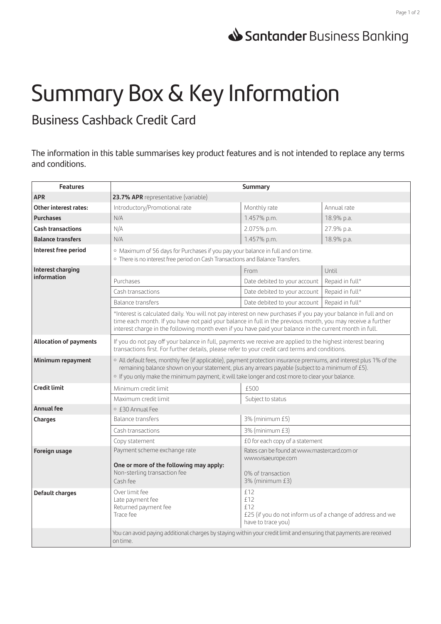## Santander Business Banking

## Summary Box & Key Information

Business Cashback Credit Card

The information in this table summarises key product features and is not intended to replace any terms and conditions.

| <b>Features</b>                  | <b>Summary</b>                                                                                                                                                                                                                                                                                                                             |                                                                                                       |                 |
|----------------------------------|--------------------------------------------------------------------------------------------------------------------------------------------------------------------------------------------------------------------------------------------------------------------------------------------------------------------------------------------|-------------------------------------------------------------------------------------------------------|-----------------|
| <b>APR</b>                       | 23.7% APR representative (variable)                                                                                                                                                                                                                                                                                                        |                                                                                                       |                 |
| <b>Other interest rates:</b>     | Introductory/Promotional rate                                                                                                                                                                                                                                                                                                              | Monthly rate                                                                                          | Annual rate     |
| <b>Purchases</b>                 | N/A                                                                                                                                                                                                                                                                                                                                        | 1.457% p.m.                                                                                           | 18.9% p.a.      |
| <b>Cash transactions</b>         | N/A                                                                                                                                                                                                                                                                                                                                        | 2.075% p.m.                                                                                           | 27.9% p.a.      |
| <b>Balance transfers</b>         | N/A                                                                                                                                                                                                                                                                                                                                        | 1.457% p.m.                                                                                           | 18.9% p.a.      |
| Interest free period             | o Maximum of 56 days for Purchases if you pay your balance in full and on time.<br>o There is no interest free period on Cash Transactions and Balance Transfers.                                                                                                                                                                          |                                                                                                       |                 |
| Interest charging<br>information |                                                                                                                                                                                                                                                                                                                                            | From                                                                                                  | Until           |
|                                  | Purchases                                                                                                                                                                                                                                                                                                                                  | Date debited to your account                                                                          | Repaid in full* |
|                                  | Cash transactions                                                                                                                                                                                                                                                                                                                          | Date debited to your account                                                                          | Repaid in full* |
|                                  | Balance transfers                                                                                                                                                                                                                                                                                                                          | Date debited to your account                                                                          | Repaid in full* |
|                                  | *Interest is calculated daily. You will not pay interest on new purchases if you pay your balance in full and on<br>time each month. If you have not paid your balance in full in the previous month, you may receive a further<br>interest charge in the following month even if you have paid your balance in the current month in full. |                                                                                                       |                 |
| <b>Allocation of payments</b>    | If you do not pay off your balance in full, payments we receive are applied to the highest interest bearing<br>transactions first. For further details, please refer to your credit card terms and conditions.                                                                                                                             |                                                                                                       |                 |
| Minimum repayment                | o All default fees, monthly fee (if applicable), payment protection insurance premiums, and interest plus 1% of the<br>remaining balance shown on your statement, plus any arrears payable (subject to a minimum of £5).<br>o If you only make the minimum payment, it will take longer and cost more to clear your balance.               |                                                                                                       |                 |
| <b>Credit limit</b>              | Minimum credit limit                                                                                                                                                                                                                                                                                                                       | £500                                                                                                  |                 |
|                                  | Maximum credit limit                                                                                                                                                                                                                                                                                                                       | Subject to status                                                                                     |                 |
| <b>Annual fee</b>                | ○ £30 Annual Fee                                                                                                                                                                                                                                                                                                                           |                                                                                                       |                 |
| Charges                          | <b>Balance transfers</b>                                                                                                                                                                                                                                                                                                                   | 3% (minimum £5)                                                                                       |                 |
|                                  | Cash transactions                                                                                                                                                                                                                                                                                                                          | 3% (minimum £3)                                                                                       |                 |
|                                  | Copy statement                                                                                                                                                                                                                                                                                                                             | £0 for each copy of a statement                                                                       |                 |
| Foreign usage                    | Payment scheme exchange rate                                                                                                                                                                                                                                                                                                               | Rates can be found at www.mastercard.com or                                                           |                 |
|                                  | One or more of the following may apply:<br>Non-sterling transaction fee<br>Cash fee                                                                                                                                                                                                                                                        | www.visaeurope.com<br>0% of transaction<br>3% (minimum £3)                                            |                 |
| Default charges                  | Over limit fee<br>Late payment fee<br>Returned payment fee<br>Trace fee                                                                                                                                                                                                                                                                    | £12<br>f12<br>f12<br>£25 (if you do not inform us of a change of address and we<br>have to trace you) |                 |
|                                  | You can avoid paying additional charges by staying within your credit limit and ensuring that payments are received<br>on time.                                                                                                                                                                                                            |                                                                                                       |                 |